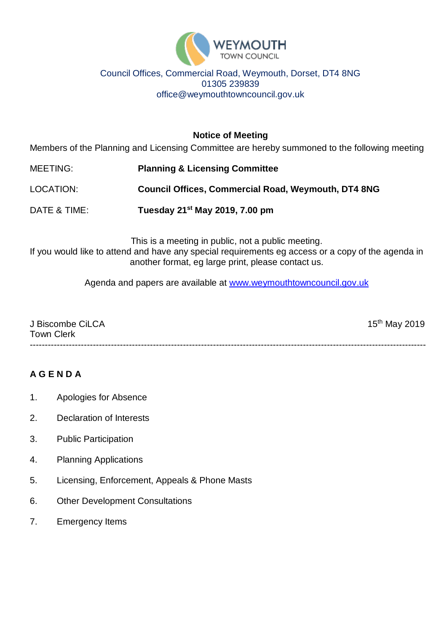

### Council Offices, Commercial Road, Weymouth, Dorset, DT4 8NG 01305 239839 office@weymouthtowncouncil.gov.uk

**Notice of Meeting**

Members of the Planning and Licensing Committee are hereby summoned to the following meeting

MEETING: **Planning & Licensing Committee**

LOCATION: **Council Offices, Commercial Road, Weymouth, DT4 8NG**

DATE & TIME: **Tuesday 21st May 2019, 7.00 pm**

This is a meeting in public, not a public meeting. If you would like to attend and have any special requirements eg access or a copy of the agenda in another format, eg large print, please contact us.

Agenda and papers are available at [www.weymouthtowncouncil.gov.uk](http://www.weymouthtowncouncil.gov.uk/)

| J Biscombe CiLCA  | $15^{th}$ May 2019 |
|-------------------|--------------------|
| <b>Town Clerk</b> |                    |
|                   |                    |

# **A G E N D A**

- 1. Apologies for Absence
- 2. Declaration of Interests
- 3. Public Participation
- 4. Planning Applications
- 5. Licensing, Enforcement, Appeals & Phone Masts
- 6. Other Development Consultations
- 7. Emergency Items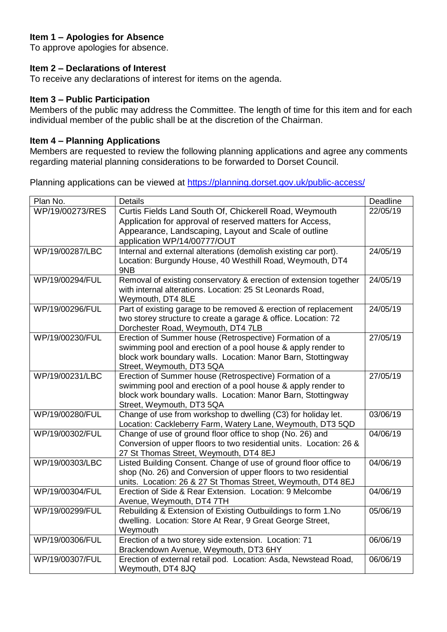# **Item 1 – Apologies for Absence**

To approve apologies for absence.

#### **Item 2 – Declarations of Interest**

To receive any declarations of interest for items on the agenda.

#### **Item 3 – Public Participation**

Members of the public may address the Committee. The length of time for this item and for each individual member of the public shall be at the discretion of the Chairman.

#### **Item 4 – Planning Applications**

Members are requested to review the following planning applications and agree any comments regarding material planning considerations to be forwarded to Dorset Council.

Planning applications can be viewed at<https://planning.dorset.gov.uk/public-access/>

| Plan No.        | <b>Details</b>                                                                                                                    | Deadline |
|-----------------|-----------------------------------------------------------------------------------------------------------------------------------|----------|
| WP/19/00273/RES | Curtis Fields Land South Of, Chickerell Road, Weymouth                                                                            | 22/05/19 |
|                 | Application for approval of reserved matters for Access,                                                                          |          |
|                 | Appearance, Landscaping, Layout and Scale of outline                                                                              |          |
|                 | application WP/14/00777/OUT                                                                                                       |          |
| WP/19/00287/LBC | Internal and external alterations (demolish existing car port).                                                                   | 24/05/19 |
|                 | Location: Burgundy House, 40 Westhill Road, Weymouth, DT4<br>9NB                                                                  |          |
| WP/19/00294/FUL | Removal of existing conservatory & erection of extension together                                                                 | 24/05/19 |
|                 | with internal alterations. Location: 25 St Leonards Road,                                                                         |          |
|                 | Weymouth, DT4 8LE                                                                                                                 |          |
| WP/19/00296/FUL | Part of existing garage to be removed & erection of replacement<br>two storey structure to create a garage & office. Location: 72 | 24/05/19 |
|                 | Dorchester Road, Weymouth, DT4 7LB                                                                                                |          |
| WP/19/00230/FUL | Erection of Summer house (Retrospective) Formation of a                                                                           | 27/05/19 |
|                 | swimming pool and erection of a pool house & apply render to                                                                      |          |
|                 | block work boundary walls. Location: Manor Barn, Stottingway                                                                      |          |
|                 | Street, Weymouth, DT3 5QA                                                                                                         |          |
| WP/19/00231/LBC | Erection of Summer house (Retrospective) Formation of a                                                                           | 27/05/19 |
|                 | swimming pool and erection of a pool house & apply render to                                                                      |          |
|                 | block work boundary walls. Location: Manor Barn, Stottingway                                                                      |          |
|                 | Street, Weymouth, DT3 5QA                                                                                                         |          |
| WP/19/00280/FUL | Change of use from workshop to dwelling (C3) for holiday let.                                                                     | 03/06/19 |
| WP/19/00302/FUL | Location: Cackleberry Farm, Watery Lane, Weymouth, DT3 5QD                                                                        | 04/06/19 |
|                 | Change of use of ground floor office to shop (No. 26) and<br>Conversion of upper floors to two residential units. Location: 26 &  |          |
|                 | 27 St Thomas Street, Weymouth, DT4 8EJ                                                                                            |          |
| WP/19/00303/LBC | Listed Building Consent. Change of use of ground floor office to                                                                  | 04/06/19 |
|                 | shop (No. 26) and Conversion of upper floors to two residential                                                                   |          |
|                 | units. Location: 26 & 27 St Thomas Street, Weymouth, DT4 8EJ                                                                      |          |
| WP/19/00304/FUL | Erection of Side & Rear Extension. Location: 9 Melcombe                                                                           | 04/06/19 |
|                 | Avenue, Weymouth, DT4 7TH                                                                                                         |          |
| WP/19/00299/FUL | Rebuilding & Extension of Existing Outbuildings to form 1. No                                                                     | 05/06/19 |
|                 | dwelling. Location: Store At Rear, 9 Great George Street,                                                                         |          |
|                 | Weymouth                                                                                                                          |          |
| WP/19/00306/FUL | Erection of a two storey side extension. Location: 71                                                                             | 06/06/19 |
|                 | Brackendown Avenue, Weymouth, DT3 6HY                                                                                             |          |
| WP/19/00307/FUL | Erection of external retail pod. Location: Asda, Newstead Road,                                                                   | 06/06/19 |
|                 | Weymouth, DT4 8JQ                                                                                                                 |          |